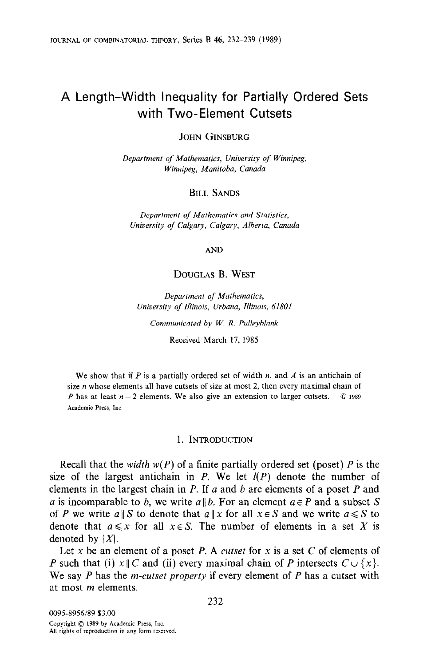# A Length-Width inequality for Partially Ordered Sets with Two-Element Cutsets

JOHN GINSBURG

Department of Mathematics, University of Winnipeg, Winnipeg, Manitoba, Canada

BILL SANDS

Department of Mathematics and Statistics, University of Calgary, Calgary, Alberta, Canada

AND

# DOUGLAS B. WEST

Department of Mathematics, University of Illinois, Urbana, Illinois, 61801

Communicated by W. R. Pulleyblank

Received March 17. 1985

We show that if  $P$  is a partially ordered set of width  $n$ , and  $A$  is an antichain of size  $n$  whose elements all have cutsets of size at most 2, then every maximal chain of P has at least  $n-2$  elements. We also give an extension to larger cutsets.  $\circledcirc$  1989 Academic Press, Inc.

# 1. INTRODUCTION

Recall that the *width*  $w(P)$  of a finite partially ordered set (poset) P is the size of the largest antichain in P. We let  $I(P)$  denote the number of elements in the largest chain in P. If  $a$  and  $b$  are elements of a poset P and a is incomparable to b, we write  $a \parallel b$ . For an element  $a \in P$  and a subset S of P we write  $a \parallel S$  to denote that  $a \parallel x$  for all  $x \in S$  and we write  $a \leq S$  to denote that  $a \leq x$  for all  $x \in S$ . The number of elements in a set X is denoted by  $|X|$ .

Let x be an element of a poset P. A cutset for x is a set C of elements of P such that (i)  $x \parallel C$  and (ii) every maximal chain of P intersects  $C \cup \{x\}$ . We say  $P$  has the *m-cutset property* if every element of  $P$  has a cutset with at most m elements.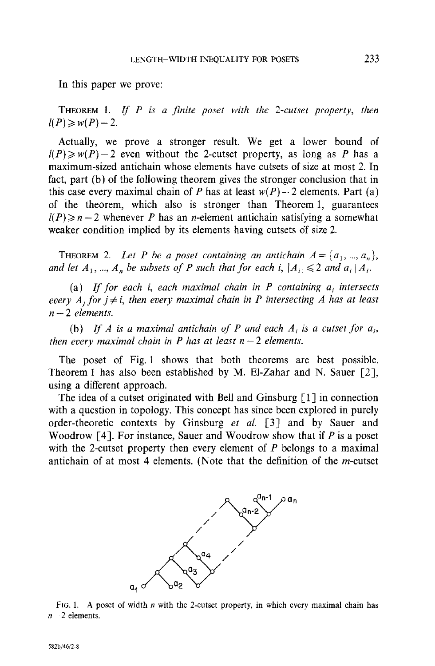In this paper we prove:

THEOREM 1. If  $P$  is a finite poset with the 2-cutset property, then  $l(P) \geq w(P) - 2$ .

Actually, we prove a stronger result. We get a lower bound of  $l(P) \geq w(P) - 2$  even without the 2-cutset property, as long as P has a maximum-sized antichain whose elements have cutsets of size at most 2. In fact, part (b) of the following theorem gives the stronger conclusion that in this case every maximal chain of P has at least  $w(P) - 2$  elements. Part (a) of the theorem, which also is stronger than Theorem 1, guarantees  $I(P) \geq n-2$  whenever P has an *n*-element antichain satisfying a somewhat weaker condition implied by its elements having cutsets of size 2.

THEOREM 2. Let P be a poset containing an antichain  $A = \{a_1, ..., a_n\}$ , and let  $A_1$ , ...,  $A_n$  be subsets of P such that for each i,  $|A_i| \leq 2$  and  $a_i || A_i$ .

(a) If for each i, each maximal chain in P containing  $a_i$  intersects every  $A_i$ , for  $j \neq i$ , then every maximal chain in P intersecting A has at least  $n-2$  elements.

(b) If A is a maximal antichain of P and each  $A_i$  is a cutset for  $a_i$ , then every maximal chain in P has at least  $n-2$  elements.

The poset of Fig. 1 shows that both theorems are best possible. Theorem 1 has also been established by M. El-Zahar and N. Sauer  $[2]$ , using a different approach.

The idea of a cutset originated with Bell and Ginsburg  $\lceil 1 \rceil$  in connection with a question in topology. This concept has since been explored in purely order-theoretic contexts by Ginsburg et al.  $\lceil 3 \rceil$  and by Sauer and Woodrow  $[4]$ . For instance, Sauer and Woodrow show that if P is a poset with the 2-cutset property then every element of  $P$  belongs to a maximal antichain of at most 4 elements. (Note that the definition of the m-cutset



FIG. 1. A poset of width n with the 2-cutset property, in which every maximal chain has 1 io. 1. 11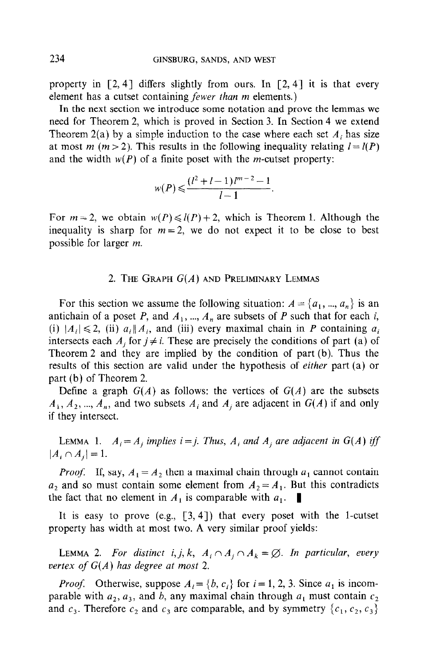property in  $[2, 4]$  differs slightly from ours. In  $[2, 4]$  it is that every element has a cutset containing *fewer than m* elements.)

In the next section we introduce some notation and prove the lemmas we need for Theorem 2, which is proved in Section 3. In Section 4 we extend Theorem 2(a) by a simple induction to the case where each set  $A_i$  has size at most *m* (*m* > 2). This results in the following inequality relating  $l = l(P)$ and the width  $w(P)$  of a finite poset with the *m*-cutset property:

$$
w(P) \leq \frac{(l^2 + l - 1)l^{m-2} - 1}{l - 1}.
$$

For  $m = 2$ , we obtain  $w(P) \le l(P) + 2$ , which is Theorem 1. Although the inequality is sharp for  $m = 2$ , we do not expect it to be close to best possible for larger m.

### 2. THE GRAPH  $G(A)$  and Preliminary Lemmas

For this section we assume the following situation:  $A = \{a_1, ..., a_n\}$  is an antichain of a poset P, and  $A_1$ , ...,  $A_n$  are subsets of P such that for each i, (i)  $|A_i| \le 2$ , (ii)  $a_i || A_i$ , and (iii) every maximal chain in P containing  $a_i$ intersects each  $A_i$  for  $j \neq i$ . These are precisely the conditions of part (a) of Theorem 2 and they are implied by the condition of part (b). Thus the results of this section are valid under the hypothesis of either part (a) or part (b) of Theorem 2.

Define a graph  $G(A)$  as follows: the vertices of  $G(A)$  are the subsets  $A_1, A_2, ..., A_n$ , and two subsets  $A_i$  and  $A_j$  are adjacent in  $G(A)$  if and only if they intersect.

LEMMA 1.  $A_i = A_j$  implies  $i = j$ . Thus,  $A_i$  and  $A_j$  are adjacent in  $G(A)$  iff  $|A_i \cap A_j| = 1.$ 

*Proof.* If, say,  $A_1 = A_2$  then a maximal chain through  $a_1$  cannot contain  $a_2$  and so must contain some element from  $A_2 = A_1$ . But this contradicts the fact that no element in  $A_1$  is comparable with  $a_1$ .

It is easy to prove  $(e.g., [3, 4])$  that every poset with the 1-cutset property has width at most two. A very similar proof yields:

LEMMA 2. For distinct i, j, k,  $A_i \cap A_j \cap A_k = \emptyset$ . In particular, every vertex of  $G(A)$  has degree at most 2.

*Proof.* Otherwise, suppose  $A_i = \{b, c_i\}$  for  $i = 1, 2, 3$ . Since  $a_1$  is incomparable with  $a_2$ ,  $a_3$ , and b, any maximal chain through  $a_1$  must contain  $c_2$ and  $c_3$ . Therefore  $c_2$  and  $c_3$  are comparable, and by symmetry  $\{c_1, c_2, c_3\}$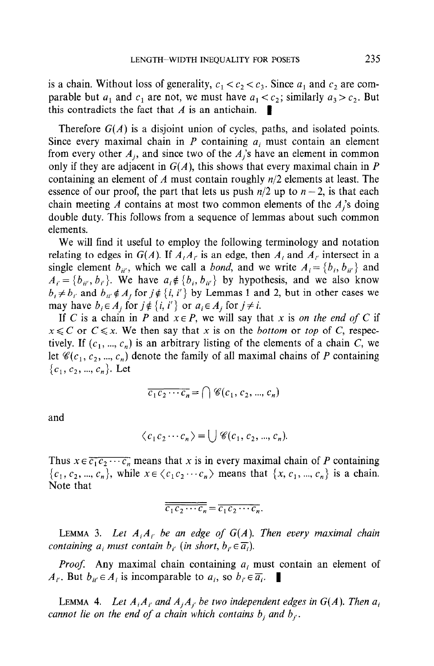is a chain. Without loss of generality,  $c_1 < c_2 < c_3$ . Since  $a_1$  and  $c_2$  are comparable but  $a_1$  and  $c_1$  are not, we must have  $a_1 < c_2$ ; similarly  $a_3 > c_2$ . But this contradicts the fact that  $\Lambda$  is an antichain.

Therefore  $G(A)$  is a disjoint union of cycles, paths, and isolated points. Since every maximal chain in  $P$  containing  $a_i$  must contain an element from every other  $A_j$ , and since two of the  $A_j$ 's have an element in common only if they are adjacent in  $G(A)$ , this shows that every maximal chain in P containing an element of A must contain roughly  $n/2$  elements at least. The essence of our proof, the part that lets us push  $n/2$  up to  $n-2$ , is that each chain meeting A contains at most two common elements of the  $A_i$ 's doing double duty. This follows from a sequence of lemmas about such common elements.

We will find it useful to employ the following terminology and notation relating to edges in  $G(A)$ . If  $A_iA_j$  is an edge, then  $A_i$  and  $A_j$  intersect in a single element  $b_{ii'}$ , which we call a *bond*, and we write  $A_i = \{b_i, b_{ii'}\}$  and  $A_i = \{b_{ii}, b_{i'}\}$ . We have  $a_i \notin \{b_i, b_{ii'}\}$  by hypothesis, and we also know  $b_i \neq b_{i'}$  and  $b_{ii'} \notin A_j$  for  $j \notin \{i, i'\}$  by Lemmas 1 and 2, but in other cases we may have  $b_i \in A_j$  for  $j \notin \{i, i'\}$  or  $a_i \in A_j$  for  $j \neq i$ .

If C is a chain in P and  $x \in P$ , we will say that x is on the end of C if  $x \leq C$  or  $C \leq x$ . We then say that x is on the *bottom* or top of C, respectively. If  $(c_1, ..., c_n)$  is an arbitrary listing of the elements of a chain C, we let  $\mathscr{C}(c_1, c_2, ..., c_n)$  denote the family of all maximal chains of P containing  ${c_1, c_2, ..., c_n}$ . Let

$$
\overline{c_1 c_2 \cdots c_n} = \bigcap \mathscr{C}(c_1, c_2, ..., c_n)
$$

and

$$
\langle c_1 c_2 \cdots c_n \rangle = \bigcup \mathscr{C}(c_1, c_2, ..., c_n).
$$

Thus  $x \in \overline{c_1 c_2 \cdots c_n}$  means that x is in every maximal chain of P containing  ${c_1, c_2, ..., c_n}$ , while  $x \in \langle c_1 c_2 \cdots c_n \rangle$  means that  $\{x, c_1, ..., c_n\}$  is a chain. Note that

$$
\overline{c_1 c_2 \cdots c_n} = \overline{c_1 c_2 \cdots c_n}.
$$

LEMMA 3. Let  $A_iA_{i'}$  be an edge of  $G(A)$ . Then every maximal chain containing  $a_i$  must contain  $b_{i'}$  (in short,  $b_{i'} \in \overline{a_i}$ ).

 $P = \ell - 4$  maximal chain chain containing under under the uit must contain an element of  $\ell$  $A, D, I, \ldots$  and the unit both annual  $a_i$  must be  $B, I, \ldots$ 

LEMMA 4. Let  $A_iA_{i'}$  and  $A_iA_{i'}$  be two independent edges in  $G(A)$ . Then  $a_i$ cannot lie on the end of a chain which contains  $b_i$  and  $b_{i'}$ .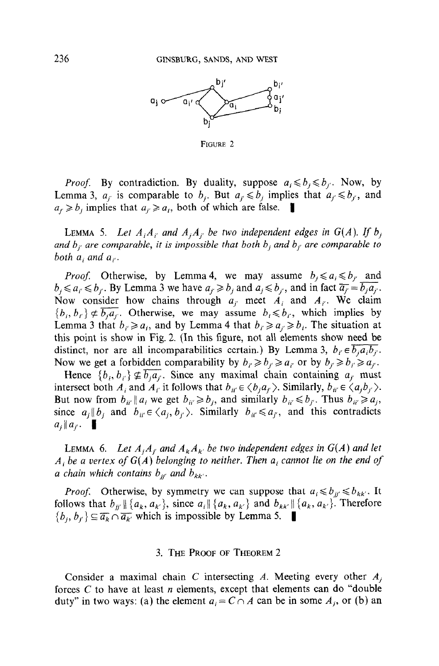

FIGURE 2

*Proof.* By contradiction. By duality, suppose  $a_i \leq b_i \leq b_i$ . Now, by Lemma 3,  $a_j$  is comparable to  $b_j$ . But  $a_j \leq b_j$  implies that  $a_j \leq b_j$ , and  $a_j \ge b_j$  implies that  $a_j \ge a_j$ , both of which are false.

**LEMMA** 5. Let  $A_iA_{i'}$  and  $A_iA_{i'}$  be two independent edges in  $G(A)$ . If  $b_i$ and  $b_{j'}$  are comparable, it is impossible that both  $b_j$  and  $b_{j'}$  are comparable to both  $a_i$  and  $a_{i'}$ .

*Proof.* Otherwise, by Lemma 4, we may assume  $b_j \le a_i \le b_{j'}$  and  $b_i \le a_i \le b_i$ . By Lemma 3 we have  $a_i \ge b_i$  and  $a_i \le b_i$ , and in fact  $\overline{a_i} = \overline{b_i a_i}$ . Now consider how chains through  $a_i$  meet  $A_i$  and  $A_i$ . We claim  ${b_i, b_{i'} \neq \overline{b_i a_{i'}}$ . Otherwise, we may assume  $b_i \leq b_i$ , which implies by Lemma 3 that  $b_i \ge a_i$ , and by Lemma 4 that  $b_i \ge a_i \ge b_i$ . The situation at this point is show in Fig. 2. (In this figure, not all elements show need be distinct, nor are all incomparabilities certain.) By Lemma 3,  $b_i \in \overline{b_j a_i b_j}$ . Now we get a forbidden comparability by  $b_i \geq b_j \geq a_i$  or by  $b_j \geq b_j \geq a_{j'}$ .

Hence  $\{b_i, b_j\} \nsubseteq \overline{b_i a_j}$ . Since any maximal chain containing  $a_j$  must intersect both  $A_i$  and  $A_{i'}$  it follows that  $b_{ii'} \in \langle b_i a_{i'} \rangle$ . Similarly,  $b_{ii'} \in \langle a_i b_{i'} \rangle$ . But now from  $b_{ii'} || a_i$  we get  $b_{ii'} \ge b_j$ , and similarly  $b_{ii'} \le b_{j'}$ . Thus  $b_{ii'} \ge a_j$ , since  $a_i \| b_i$  and  $b_{ii'} \in \langle a_i, b_j \rangle$ . Similarly  $b_{ii'} \leq a_{i'}$ , and this contradicts  $a_i \parallel a_i$ .

LEMMA 6. Let  $A_jA_{j'}$  and  $A_kA_{k'}$  be two independent edges in  $G(A)$  and let  $A_i$  be a vertex of  $G(A)$  belonging to neither. Then  $a_i$  cannot lie on the end of a chain which contains  $b_{ji'}$  and  $b_{kk'}$ .

*Proof.* Otherwise, by symmetry we can suppose that  $a_i \le b_{jj'} \le b_{kk'}$ . It follows that  $b_{ij} \parallel \{a_k, a_{k'}\}$ , since  $a_i \parallel \{a_k, a_{k'}\}$  and  $b_{kk'} \parallel \{a_k, a_{k'}\}$ . Therefore  $\{b_i, b_{i'}\} \subseteq \overline{a_k} \cap \overline{a_{k'}}$  which is impossible by Lemma 5.  $\blacksquare$ 

## 3. THE PROOF OF THEOREM 2

Consider a maximal chain C intersecting A. Meeting every other  $A_i$ forces  $C$  to have at least  $n$  elements, except that elements can do "double duty" in two ways: (a) the element  $a_i = C \cap A$  can be in some  $A_i$ , or (b) an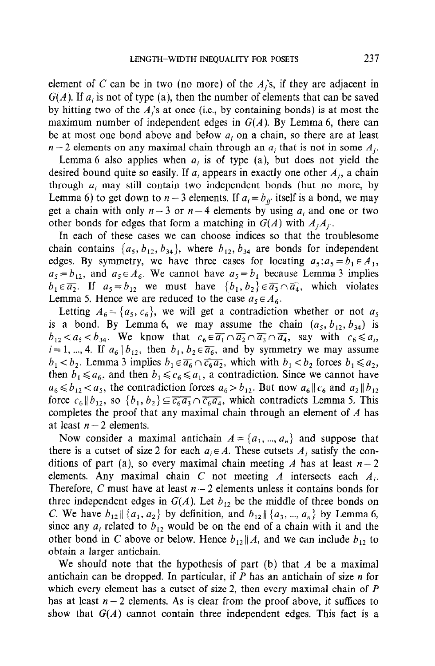element of C can be in two (no more) of the  $A_i$ 's, if they are adjacent in  $G(A)$ . If  $a_i$  is not of type (a), then the number of elements that can be saved by hitting two of the  $A_i$ 's at once (i.e., by containing bonds) is at most the maximum number of independent edges in  $G(A)$ . By Lemma 6, there can be at most one bond above and below  $a_i$  on a chain, so there are at least  $n-2$  elements on any maximal chain through an  $a_i$  that is not in some  $A_i$ .

Lemma 6 also applies when  $a_i$  is of type (a), but does not yield the desired bound quite so easily. If  $a_i$  appears in exactly one other  $A_i$ , a chain through  $a_i$  may still contain two independent bonds (but no more, by Lemma 6) to get down to  $n-3$  elements. If  $a_i = b_{ii'}$  itself is a bond, we may get a chain with only  $n-3$  or  $n-4$  elements by using  $a_i$  and one or two other bonds for edges that form a matching in  $G(A)$  with  $A_iA_{i'}$ .

In each of these cases we can choose indices so that the troublesome chain contains  $\{a_5, b_{12}, b_{34}\}$ , where  $b_{12}, b_{34}$  are bonds for independent edges. By symmetry, we have three cases for locating  $a_5: a_5 = b_1 \in A_1$ ,  $a_5 = b_{12}$ , and  $a_5 \in A_6$ . We cannot have  $a_5 = b_1$  because Lemma 3 implies  $b_1 \in \overline{a_2}$ . If  $a_5 = b_{12}$  we must have  $\{b_1, b_2\} \in \overline{a_3} \cap \overline{a_4}$ , which violates Lemma 5. Hence we are reduced to the case  $a_5 \in A_6$ .

Letting  $A_6 = \{a_5, c_6\}$ , we will get a contradiction whether or not  $a_5$ is a bond. By Lemma 6, we may assume the chain  $(a_5, b_{12}, b_{34})$  is  $b_{12} < a_5 < b_{34}$ . We know that  $c_6 \in \overline{a_1} \cap \overline{a_2} \cap \overline{a_3} \cap \overline{a_4}$ , say with  $c_6 \leq a_i$ ,  $i=1, ..., 4$ . If  $a_6 \mid b_{12}$ , then  $b_1, b_2 \in \overline{a_6}$ , and by symmetry we may assume  $b_1 < b_2$ . Lemma 3 implies  $b_1 \in \overline{a_6} \cap \overline{c_6a_2}$ , which with  $b_1 < b_2$  forces  $b_1 \le a_2$ , then  $b_1 \le a_6$ , and then  $b_1 \le c_6 \le a_1$ , a contradiction. Since we cannot have  $a_6 \le b_{12} < a_5$ , the contradiction forces  $a_6 > b_{12}$ . But now  $a_6 || c_6$  and  $a_2 || b_{12}$ force  $c_6||b_{12}$ , so  $\{b_1, b_2\} \subseteq \overline{c_6a_3} \cap \overline{c_6a_4}$ , which contradicts Lemma 5. This completes the proof that any maximal chain through an element of  $A$  has at least  $n-2$  elements.

Now consider a maximal antichain  $A = \{a_1, ..., a_n\}$  and suppose that there is a cutset of size 2 for each  $a_i \in A$ . These cutsets  $A_i$  satisfy the conditions of part (a), so every maximal chain meeting A has at least  $n-2$ elements. Any maximal chain C not meeting A intersects each  $A_i$ . Therefore, C must have at least  $n-2$  elements unless it contains bonds for three independent edges in  $G(A)$ . Let  $b_{12}$  be the middle of three bonds on *C*. We have  $b_{12} || \{a_1, a_2\}$  by definition, and  $b_{12} || \{a_3, ..., a_n\}$  by Lemma 6, since any  $a_i$  related to  $b_{12}$  would be on the end of a chain with it and the other bond in C above or below. Hence  $b_{12} || A$ , and we can include  $b_{12}$  to obtain a larger antichain.

We should note that the hypothesis of part (b) that  $A$  be a maximal antichain can be dropped. In particular, if P has an antichain of size n for which every element has a cutset of size 2, then every maximal chain of P  $h_{\text{max}}$  at least n  $\alpha$  elements. As is clear from the proof above, it suffices to provide the proof above, it suffices to provide the proof above, it suffices to provide the proof above, it suffices to provide the proo  $s_n$  at fact  $n \geq$  chements,  $\lambda s$  is each from the proof above, it sumes to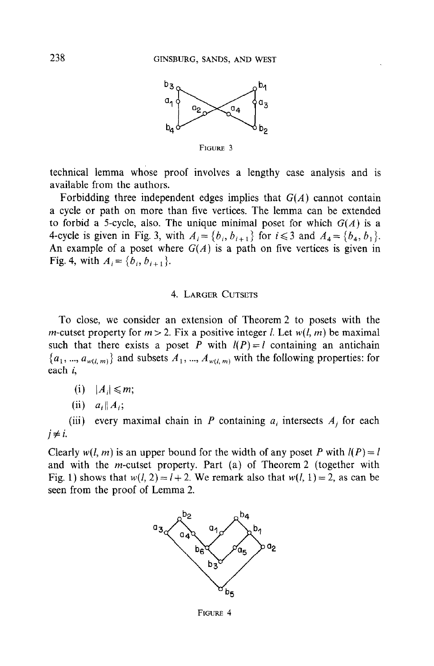

FIGURE 3

technical lemma whose proof involves a lengthy case analysis and is available from the authors.

Forbidding three independent edges implies that  $G(A)$  cannot contain a cycle or path on more than five vertices. The lemma can be extended to forbid a 5-cycle, also. The unique minimal poset for which  $G(A)$  is a 4-cycle is given in Fig. 3, with  $A_i = \{b_i, b_{i+1}\}\$  for  $i \leq 3$  and  $A_4 = \{b_4, b_1\}.$ An example of a poset where  $G(A)$  is a path on five vertices is given in Fig. 4, with  $A_i = \{b_i, b_{i+1}\}.$ 

## 4. LARGER CUTSETS

To close, we consider an extension of Theorem 2 to posets with the m-cutset property for  $m > 2$ . Fix a positive integer l. Let  $w(l, m)$  be maximal such that there exists a poset P with  $l(P) = l$  containing an antichain  $\{a_1, ..., a_{w(l,m)}\}$  and subsets  $A_1, ..., A_{w(l,m)}$  with the following properties: for each i,

- (i)  $|A_i| \leq m$ ;
- (ii)  $a_i || A_i;$

(iii) every maximal chain in P containing  $a_i$  intersects  $A_j$  for each  $i \neq i$ .

Clearly  $w(l, m)$  is an upper bound for the width of any poset P with  $l(P) = l$ and with the m-cutset property. Part (a) of Theorem 2 (together with Fig. 1) shows that  $w(l, 2) = l + 2$ . We remark also that  $w(l, 1) = 2$ , as can be seen from the proof of Lemma 2.